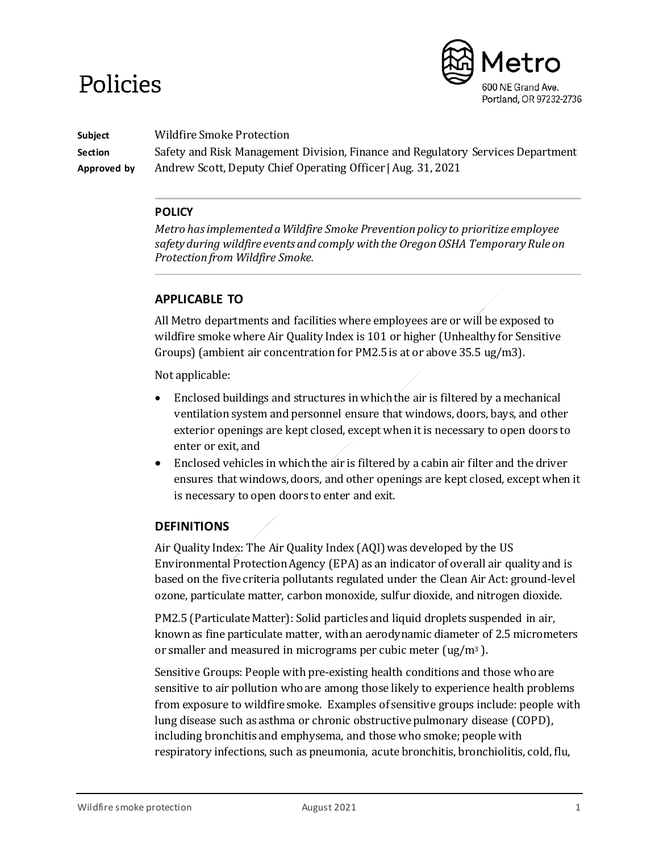# Policies



**Subject** Wildfire Smoke Protection

**Section** Safety and Risk Management Division, Finance and Regulatory Services Department **Approved by** Andrew Scott, Deputy Chief Operating Officer | Aug. 31, 2021

# **POLICY**

*Metro has implemented a Wildfire Smoke Prevention policy to prioritize employee safety during wildfire events and comply with the Oregon OSHA Temporary Rule on Protection from Wildfire Smoke.* 

# **APPLICABLE TO**

All Metro departments and facilities where employees are or will be exposed to wildfire smoke where Air Quality Index is 101 or higher (Unhealthy for Sensitive Groups) (ambient air concentration for PM2.5 is at or above 35.5 ug/m3).

Not applicable:

- Enclosed buildings and structures in which the air is filtered by a mechanical ventilation system and personnel ensure that windows, doors, bays, and other exterior openings are kept closed, except when it is necessary to open doors to enter or exit, and
- Enclosed vehicles in which the air is filtered by a cabin air filter and the driver ensures that windows, doors, and other openings are kept closed, except when it is necessary to open doors to enter and exit.

# **DEFINITIONS**

Air Quality Index: The Air Quality Index (AQI) was developed by the US Environmental Protection Agency (EPA) as an indicator of overall air quality and is based on the five criteria pollutants regulated under the Clean Air Act: ground-level ozone, particulate matter, carbon monoxide, sulfur dioxide, and nitrogen dioxide.

PM2.5 (Particulate Matter): Solid particles and liquid droplets suspended in air, known as fine particulate matter, with an aerodynamic diameter of 2.5 micrometers or smaller and measured in micrograms per cubic meter (ug/m3 ).

Sensitive Groups: People with pre-existing health conditions and those who are sensitive to air pollution who are among those likely to experience health problems from exposure to wildfire smoke. Examples of sensitive groups include: people with lung disease such as asthma or chronic obstructive pulmonary disease (COPD), including bronchitis and emphysema, and those who smoke; people with respiratory infections, such as pneumonia, acute bronchitis, bronchiolitis, cold, flu,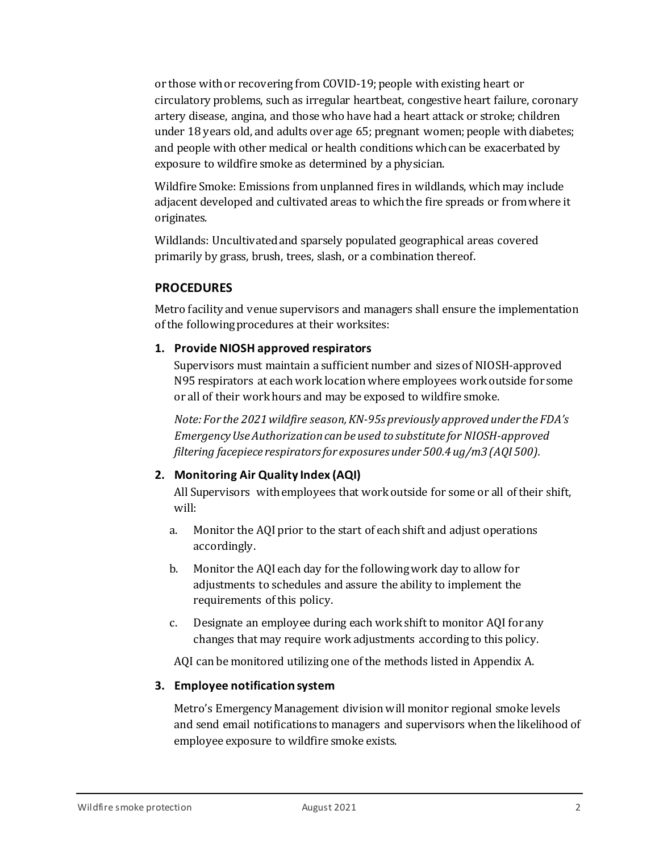or those with or recovering from COVID-19; people with existing heart or circulatory problems, such as irregular heartbeat, congestive heart failure, coronary artery disease, angina, and those who have had a heart attack or stroke; children under 18 years old, and adults over age 65; pregnant women; people with diabetes; and people with other medical or health conditions which can be exacerbated by exposure to wildfire smoke as determined by a physician.

Wildfire Smoke: Emissions from unplanned fires in wildlands, which may include adjacent developed and cultivated areas to which the fire spreads or from where it originates.

Wildlands: Uncultivated and sparsely populated geographical areas covered primarily by grass, brush, trees, slash, or a combination thereof.

# **PROCEDURES**

Metro facility and venue supervisors and managers shall ensure the implementation of the following procedures at their worksites:

## **1. Provide NIOSH approved respirators**

Supervisors must maintain a sufficient number and sizes of NIOSH-approved N95 respirators at each work location where employees work outside for some or all of their work hours and may be exposed to wildfire smoke.

*Note: For the 2021 wildfire season, KN-95s previously approved under the FDA's Emergency Use Authorization can be used to substitute for NIOSH-approved filtering facepiece respirators for exposures under 500.4 ug/m3 (AQI 500).*

# **2. Monitoring Air Quality Index (AQI)**

All Supervisors with employees that work outside for some or all of their shift, will:

- a. Monitor the AQI prior to the start of each shift and adjust operations accordingly.
- b. Monitor the AQI each day for the following work day to allow for adjustments to schedules and assure the ability to implement the requirements of this policy.
- c. Designate an employee during each work shift to monitor AQI for any changes that may require work adjustments according to this policy.

AQI can be monitored utilizing one of the methods listed in Appendix A.

## **3. Employee notification system**

Metro's Emergency Management division will monitor regional smoke levels and send email notifications to managers and supervisors when the likelihood of employee exposure to wildfire smoke exists.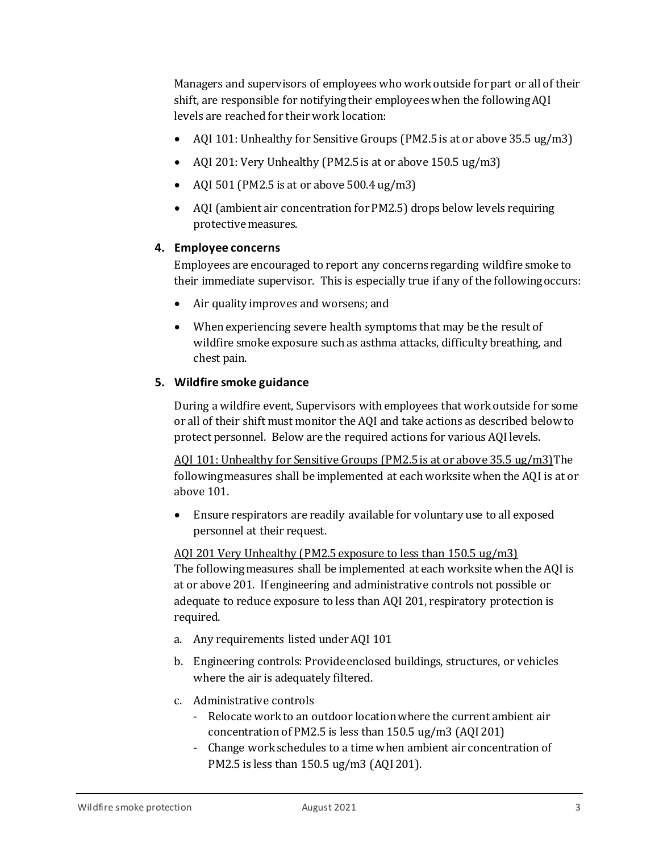Managers and supervisors of employees who work outside for part or all of their shift, are responsible for notifyingtheir employees when the following AQI levels are reached for their work location:

- AQI 101: Unhealthy for Sensitive Groups (PM2.5 is at or above 35.5 ug/m3)
- AQI 201: Very Unhealthy (PM2.5 is at or above 150.5 ug/m3)
- AQI 501 (PM2.5 is at or above 500.4 ug/m3)
- AQI (ambient air concentration for PM2.5) drops below levels requiring protective measures.

## **4. Employee concerns**

Employees are encouraged to report any concerns regarding wildfire smoke to their immediate supervisor. This is especially true if any of the following occurs:

- Air quality improves and worsens; and
- When experiencing severe health symptoms that may be the result of wildfire smoke exposure such as asthma attacks, difficulty breathing, and chest pain.

## **5. Wildfire smoke guidance**

During a wildfire event, Supervisors with employees that work outside for some or all of their shift must monitor the AQI and take actions as described below to protect personnel. Below are the required actions for various AQI levels.

AQI 101: Unhealthy for Sensitive Groups (PM2.5 is at or above 35.5 ug/m3)The following measures shall be implemented at each worksite when the AQI is at or above 101.

• Ensure respirators are readily available for voluntary use to all exposed personnel at their request.

AQI 201 Very Unhealthy (PM2.5 exposure to less than 150.5 ug/m3) The following measures shall be implemented at each worksite when the AQI is at or above 201. If engineering and administrative controls not possible or adequate to reduce exposure to less than AQI 201, respiratory protection is required.

- a. Any requirements listed under AQI 101
- b. Engineering controls: Provide enclosed buildings, structures, or vehicles where the air is adequately filtered.
- c. Administrative controls
	- Relocate work to an outdoor location where the current ambient air concentration of PM2.5 is less than 150.5 ug/m3 (AQI 201)
	- Change work schedules to a time when ambient air concentration of PM2.5 is less than 150.5 ug/m3 (AQI 201).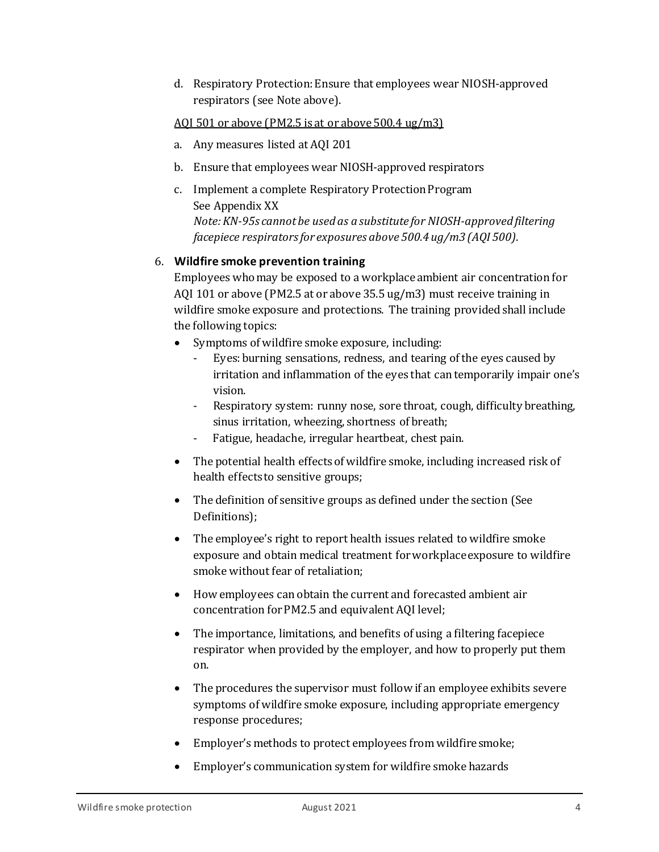d. Respiratory Protection: Ensure that employees wear NIOSH-approved respirators (see Note above).

## AQI 501 or above (PM2.5 is at or above 500.4 ug/m3)

- a. Any measures listed at AQI 201
- b. Ensure that employees wear NIOSH-approved respirators
- c. Implement a complete Respiratory Protection Program See Appendix XX *Note: KN-95s cannot be used as a substitute for NIOSH-approved filtering facepiece respirators for exposures above 500.4 ug/m3 (AQI 500).*

# 6. **Wildfire smoke prevention training**

Employees who may be exposed to a workplace ambient air concentration for AQI 101 or above (PM2.5 at or above 35.5 ug/m3) must receive training in wildfire smoke exposure and protections. The training provided shall include the following topics:

- Symptoms of wildfire smoke exposure, including:
	- Eyes: burning sensations, redness, and tearing of the eyes caused by irritation and inflammation of the eyes that can temporarily impair one's vision.
	- Respiratory system: runny nose, sore throat, cough, difficulty breathing, sinus irritation, wheezing, shortness of breath;
	- Fatigue, headache, irregular heartbeat, chest pain.
- The potential health effects of wildfire smoke, including increased risk of health effects to sensitive groups;
- The definition of sensitive groups as defined under the section (See Definitions);
- The employee's right to report health issues related to wildfire smoke exposure and obtain medical treatment for workplace exposure to wildfire smoke without fear of retaliation;
- How employees can obtain the current and forecasted ambient air concentration for PM2.5 and equivalent AQI level;
- The importance, limitations, and benefits of using a filtering facepiece respirator when provided by the employer, and how to properly put them on.
- The procedures the supervisor must follow if an employee exhibits severe symptoms of wildfire smoke exposure, including appropriate emergency response procedures;
- Employer's methods to protect employees from wildfire smoke;
- Employer's communication system for wildfire smoke hazards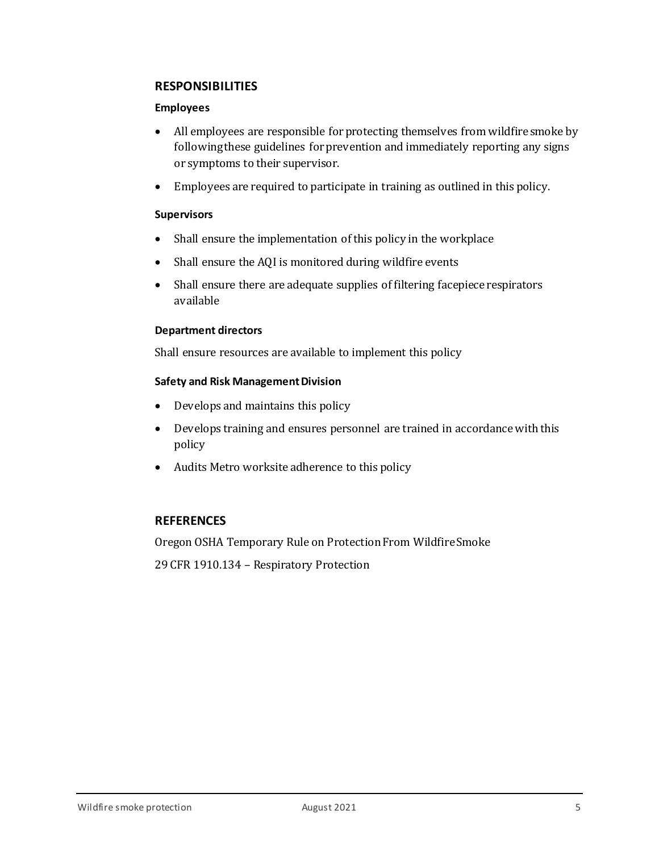# **RESPONSIBILITIES**

#### **Employees**

- All employees are responsible for protecting themselves from wildfire smoke by following these guidelines for prevention and immediately reporting any signs or symptoms to their supervisor.
- Employees are required to participate in training as outlined in this policy.

## **Supervisors**

- Shall ensure the implementation of this policy in the workplace
- Shall ensure the AQI is monitored during wildfire events
- Shall ensure there are adequate supplies of filtering facepiece respirators available

#### **Department directors**

Shall ensure resources are available to implement this policy

#### **Safety and Risk Management Division**

- Develops and maintains this policy
- Develops training and ensures personnel are trained in accordance with this policy
- Audits Metro worksite adherence to this policy

## **REFERENCES**

Oregon OSHA Temporary Rule on Protection From Wildfire Smoke

29 CFR 1910.134 – Respiratory Protection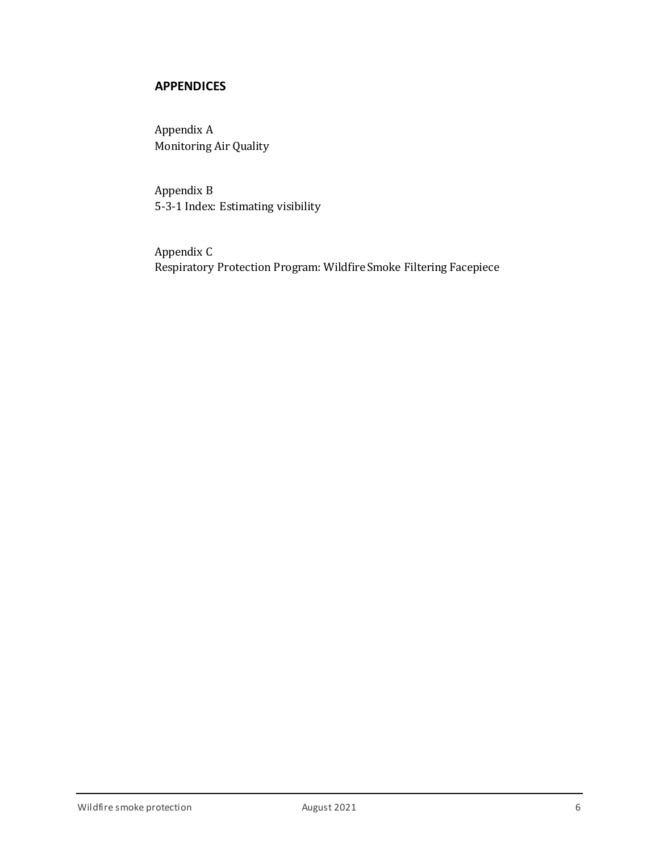# **APPENDICES**

Appendix A Monitoring Air Quality

Appendix B 5-3-1 Index: Estimating visibility

Appendix C Respiratory Protection Program: Wildfire Smoke Filtering Facepiece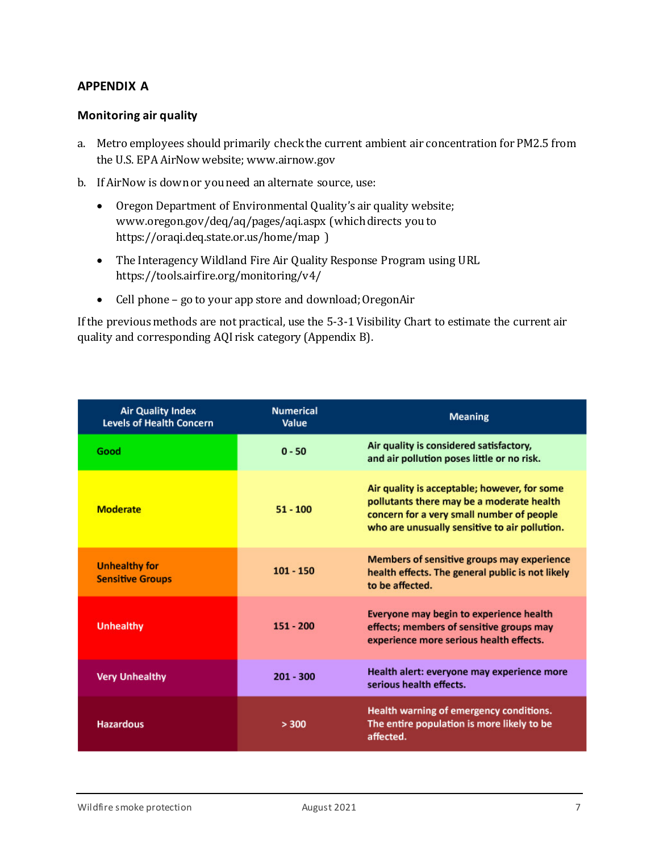# **APPENDIX A**

## **Monitoring air quality**

- a. Metro employees should primarily check the current ambient air concentration for PM2.5 from the U.S. EPA AirNow website; [www.airnow.gov](file://alex/work/asd/bizsrv/staff/amodeo/private/My%20Documents/M%20Amodeo/METRO/METRO%20Safety/Wildfire%20Smoke/www.airnow.gov)
- b. If AirNow is down or you need an alternate source, use:
	- Oregon Department of Environmental Quality's air quality website; [www.oregon.gov/deq/aq/pages/aqi.aspx](http://www.oregon.gov/deq/aq/pages/aqi.aspx) (which directs you to <https://oraqi.deq.state.or.us/home/map> )
	- The Interagency Wildland Fire Air Quality Response Program using URL <https://tools.airfire.org/monitoring/v4/>
	- Cell phone go to your app store and download; OregonAir

If the previous methods are not practical, use the 5-3-1 Visibility Chart to estimate the current air quality and corresponding AQI risk category (Appendix B).

| <b>Air Quality Index</b><br><b>Levels of Health Concern</b> | <b>Numerical</b><br>Value | <b>Meaning</b>                                                                                                                                                                          |  |
|-------------------------------------------------------------|---------------------------|-----------------------------------------------------------------------------------------------------------------------------------------------------------------------------------------|--|
| Good                                                        | $0 - 50$                  | Air quality is considered satisfactory,<br>and air pollution poses little or no risk.                                                                                                   |  |
| <b>Moderate</b>                                             | $51 - 100$                | Air quality is acceptable; however, for some<br>pollutants there may be a moderate health<br>concern for a very small number of people<br>who are unusually sensitive to air pollution. |  |
| <b>Unhealthy for</b><br><b>Sensitive Groups</b>             | $101 - 150$               | Members of sensitive groups may experience<br>health effects. The general public is not likely<br>to be affected.                                                                       |  |
| <b>Unhealthy</b>                                            | $151 - 200$               | Everyone may begin to experience health<br>effects; members of sensitive groups may<br>experience more serious health effects.                                                          |  |
| <b>Very Unhealthy</b>                                       | $201 - 300$               | Health alert: everyone may experience more<br>serious health effects.                                                                                                                   |  |
| <b>Hazardous</b>                                            | > 300                     | Health warning of emergency conditions.<br>The entire population is more likely to be<br>affected.                                                                                      |  |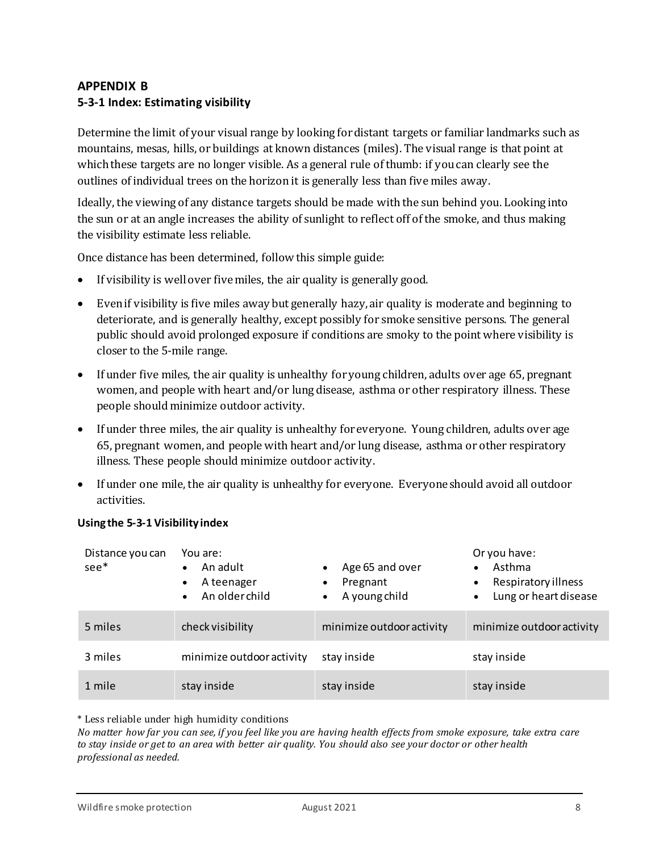# **APPENDIX B 5-3-1 Index: Estimating visibility**

Determine the limit of your visual range by looking for distant targets or familiar landmarks such as mountains, mesas, hills, or buildings at known distances (miles). The visual range is that point at which these targets are no longer visible. As a general rule of thumb: if you can clearly see the outlines of individual trees on the horizon it is generally less than five miles away.

Ideally, the viewing of any distance targets should be made with the sun behind you. Looking into the sun or at an angle increases the ability of sunlight to reflect off of the smoke, and thus making the visibility estimate less reliable.

Once distance has been determined, follow this simple guide:

- If visibility is well over five miles, the air quality is generally good.
- Even if visibility is five miles away but generally hazy, air quality is moderate and beginning to deteriorate, and is generally healthy, except possibly for smoke sensitive persons. The general public should avoid prolonged exposure if conditions are smoky to the point where visibility is closer to the 5-mile range.
- If under five miles, the air quality is unhealthy for young children, adults over age 65, pregnant women, and people with heart and/or lung disease, asthma or other respiratory illness. These people should minimize outdoor activity.
- If under three miles, the air quality is unhealthy for everyone. Young children, adults over age 65, pregnant women, and people with heart and/or lung disease, asthma or other respiratory illness. These people should minimize outdoor activity.
- If under one mile, the air quality is unhealthy for everyone. Everyone should avoid all outdoor activities.

| Using the 5-3-1 Visibility index |  |  |  |
|----------------------------------|--|--|--|
|----------------------------------|--|--|--|

| Distance you can<br>$see$ * | You are:<br>An adult<br>A teenager<br>$\bullet$<br>An older child | Age 65 and over<br>Pregnant<br>A young child | Or you have:<br>Asthma<br>$\bullet$<br>Respiratory illness<br>$\bullet$<br>Lung or heart disease<br>$\bullet$ |
|-----------------------------|-------------------------------------------------------------------|----------------------------------------------|---------------------------------------------------------------------------------------------------------------|
| 5 miles                     | check visibility                                                  | minimize outdoor activity                    | minimize outdoor activity                                                                                     |
| 3 miles                     | minimize outdoor activity                                         | stay inside                                  | stay inside                                                                                                   |
| 1 mile                      | stay inside                                                       | stay inside                                  | stay inside                                                                                                   |

\* Less reliable under high humidity conditions

*No matter how far you can see, if you feel like you are having health effects from smoke exposure, take extra care to stay inside or get to an area with better air quality. You should also see your doctor or other health professional as needed.*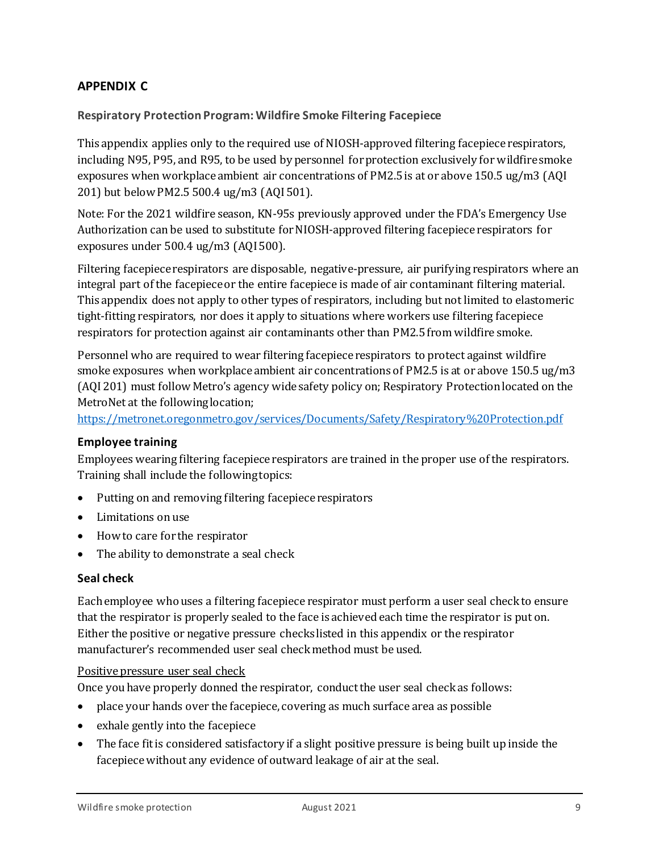# **APPENDIX C**

## **Respiratory Protection Program: Wildfire Smoke Filtering Facepiece**

This appendix applies only to the required use of NIOSH-approved filtering facepiece respirators, including N95, P95, and R95, to be used by personnel for protection exclusively for wildfire smoke exposures when workplace ambient air concentrations of PM2.5 is at or above 150.5 ug/m3 (AQI 201) but below PM2.5 500.4 ug/m3 (AQI 501).

Note: For the 2021 wildfire season, KN-95s previously approved under the FDA's Emergency Use Authorization can be used to substitute for NIOSH-approved filtering facepiece respirators for exposures under 500.4 ug/m3 (AQI 500).

Filtering facepiece respirators are disposable, negative-pressure, air purifying respirators where an integral part of the facepiece or the entire facepiece is made of air contaminant filtering material. This appendix does not apply to other types of respirators, including but not limited to elastomeric tight-fitting respirators, nor does it apply to situations where workers use filtering facepiece respirators for protection against air contaminants other than PM2.5 from wildfire smoke.

Personnel who are required to wear filtering facepiece respirators to protect against wildfire smoke exposures when workplace ambient air concentrations of PM2.5 is at or above 150.5 ug/m3 (AQI 201) must follow Metro's agency wide safety policy on; Respiratory Protectionlocated on the MetroNet at the following location;

<https://metronet.oregonmetro.gov/services/Documents/Safety/Respiratory%20Protection.pdf>

#### **Employee training**

Employees wearing filtering facepiece respirators are trained in the proper use of the respirators. Training shall include the following topics:

- Putting on and removing filtering facepiece respirators
- Limitations on use
- How to care for the respirator
- The ability to demonstrate a seal check

#### **Seal check**

Each employee who uses a filtering facepiece respirator must perform a user seal check to ensure that the respirator is properly sealed to the face is achieved each time the respirator is put on. Either the positive or negative pressure checks listed in this appendix or the respirator manufacturer's recommended user seal check method must be used.

#### Positive pressure user seal check

Once you have properly donned the respirator, conductthe user seal check as follows:

- place your hands over the facepiece, covering as much surface area as possible
- exhale gently into the facepiece
- The face fit is considered satisfactory if a slight positive pressure is being built up inside the facepiece without any evidence of outward leakage of air at the seal.